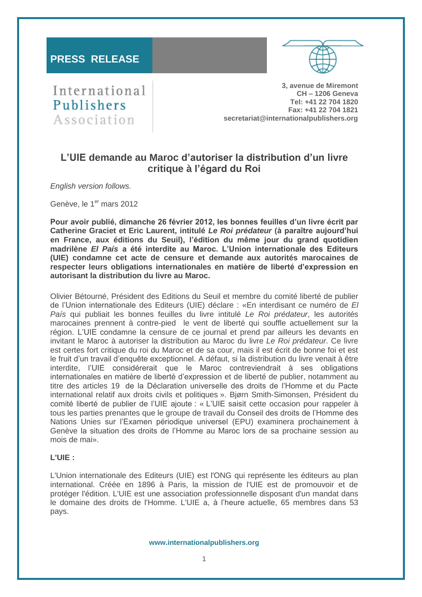# **PRESS RELEASE**



International Publishers Association

**3, avenue de Miremont CH – 1206 Geneva Tel: +41 22 704 1820 Fax: +41 22 704 1821 secretariat@internationalpublishers.org**

# **L'UIE demande au Maroc d'autoriser la distribution d'un livre critique à l'égard du Roi**

*English version follows.* 

Genève, le 1er mars 2012

**Pour avoir publié, dimanche 26 février 2012, les bonnes feuilles d'un livre écrit par Catherine Graciet et Eric Laurent, intitulé** *Le Roi prédateur* **(à paraître aujourd'hui en France, aux éditions du Seuil), l'édition du même jour du grand quotidien madrilène** *El País* **a été interdite au Maroc. L'Union internationale des Editeurs (UIE) condamne cet acte de censure et demande aux autorités marocaines de respecter leurs obligations internationales en matière de liberté d'expression en autorisant la distribution du livre au Maroc.** 

Olivier Bétourné, Président des Editions du Seuil et membre du comité liberté de publier de l'Union internationale des Editeurs (UIE) déclare : «En interdisant ce numéro de *El País* qui publiait les bonnes feuilles du livre intitulé *Le Roi prédateur*, les autorités marocaines prennent à contre-pied le vent de liberté qui souffle actuellement sur la région. L'UIE condamne la censure de ce journal et prend par ailleurs les devants en invitant le Maroc à autoriser la distribution au Maroc du livre *Le Roi prédateur*. Ce livre est certes fort critique du roi du Maroc et de sa cour, mais il est écrit de bonne foi et est le fruit d'un travail d'enquête exceptionnel. A défaut, si la distribution du livre venait à être interdite, l'UIE considérerait que le Maroc contreviendrait à ses obligations internationales en matière de liberté d'expression et de liberté de publier, notamment au titre des articles 19 de la Déclaration universelle des droits de l'Homme et du Pacte international relatif aux droits civils et politiques ». Bjørn Smith-Simonsen, Président du comité liberté de publier de l'UIE ajoute : « L'UIE saisit cette occasion pour rappeler à tous les parties prenantes que le groupe de travail du Conseil des droits de l'Homme des Nations Unies sur l'Examen périodique universel (EPU) examinera prochainement à Genève la situation des droits de l'Homme au Maroc lors de sa prochaine session au mois de mai».

### **L'UIE :**

L'Union internationale des Editeurs (UIE) est l'ONG qui représente les éditeurs au plan international. Créée en 1896 à Paris, la mission de l'UIE est de promouvoir et de protéger l'édition. L'UIE est une association professionnelle disposant d'un mandat dans le domaine des droits de l'Homme. L'UIE a, à l'heure actuelle, 65 membres dans 53 pays.

**www.internationalpublishers.org**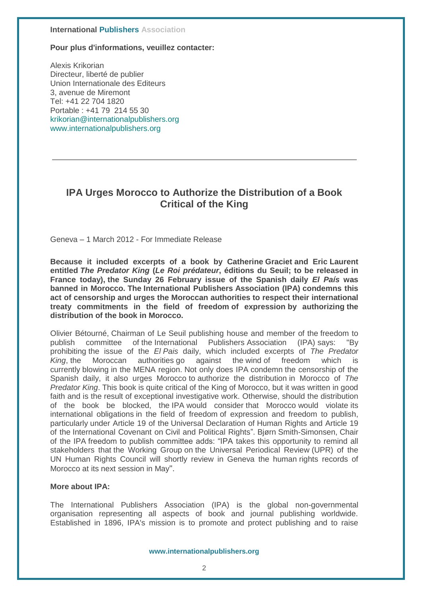### **International Publishers Association**

**Pour plus d'informations, veuillez contacter:** 

Alexis Krikorian Directeur, liberté de publier Union Internationale des Editeurs 3, avenue de Miremont Tel: +41 22 704 1820 Portable : +41 79 214 55 30 [krikorian@internationalpublishers.org](mailto:krikorian@internationalpublishers.org) [www.internationalpublishers.org](http://www.internationalpublishers.org/) 

# **IPA Urges Morocco to Authorize the Distribution of a Book Critical of the King**

Geneva – 1 March 2012 - For Immediate Release

**Because it included excerpts of a book by Catherine Graciet and Eric Laurent entitled** *The Predator King* **(***Le Roi prédateur***, éditions du Seuil; to be released in France today), the Sunday 26 February issue of the Spanish daily** *El País* **was banned in Morocco. The International Publishers Association (IPA) condemns this act of censorship and urges the Moroccan authorities to respect their international treaty commitments in the field of freedom of expression by authorizing the distribution of the book in Morocco.**

Olivier Bétourné, Chairman of Le Seuil publishing house and member of the freedom to publish committee of the International Publishers Association (IPA) says: "By prohibiting the issue of the *El Pais* daily, which included excerpts of *The Predator King*, the Moroccan authorities go against the wind of freedom which currently blowing in the MENA region. Not only does IPA condemn the censorship of the Spanish daily, it also urges Morocco to authorize the distribution in Morocco of *The Predator King*. This book is quite critical of the King of Morocco, but it was written in good faith and is the result of exceptional investigative work. Otherwise, should the distribution of the book be blocked, the IPA would consider that Morocco would violate its international obligations in the field of freedom of expression and freedom to publish, particularly under Article 19 of the Universal Declaration of Human Rights and Article 19 of the International Covenant on Civil and Political Rights". Bjørn Smith-Simonsen, Chair of the IPA freedom to publish committee adds: "IPA takes this opportunity to remind all stakeholders that the Working Group on the Universal Periodical Review (UPR) of the UN Human Rights Council will shortly review in Geneva the human rights records of Morocco at its next session in May".

## **More about IPA:**

The International Publishers Association (IPA) is the global non-governmental organisation representing all aspects of book and journal publishing worldwide. Established in 1896, IPA's mission is to promote and protect publishing and to raise

#### **www.internationalpublishers.org**